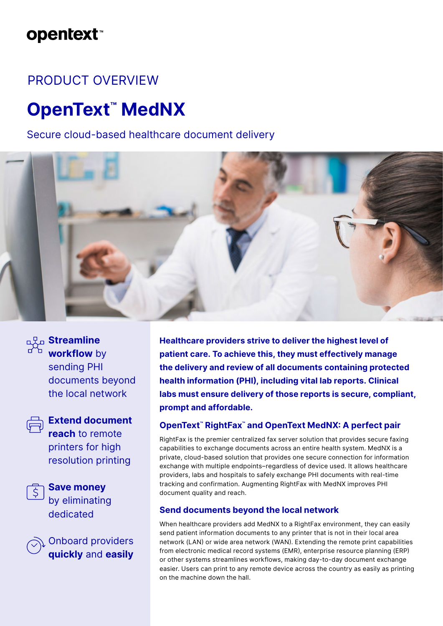# **opentext™**

# PRODUCT OVERVIEW

# **OpenText™ MedNX**

# Secure cloud-based healthcare document delivery





# **Streamline workflow** by sending PHI documents beyond the local network



# **Extend document reach** to remote printers for high resolution printing



**Save money** by eliminating dedicated

Onboard providers **quickly** and **easily** **Healthcare providers strive to deliver the highest level of patient care. To achieve this, they must effectively manage the delivery and review of all documents containing protected health information (PHI), including vital lab reports. Clinical labs must ensure delivery of those reports is secure, compliant, prompt and affordable.**

# **OpenText™ RightFax™ and OpenText MedNX: A perfect pair**

RightFax is the premier centralized fax server solution that provides secure faxing capabilities to exchange documents across an entire health system. MedNX is a private, cloud-based solution that provides one secure connection for information exchange with multiple endpoints–regardless of device used. It allows healthcare providers, labs and hospitals to safely exchange PHI documents with real-time tracking and confirmation. Augmenting RightFax with MedNX improves PHI document quality and reach.

# **Send documents beyond the local network**

When healthcare providers add MedNX to a RightFax environment, they can easily send patient information documents to any printer that is not in their local area network (LAN) or wide area network (WAN). Extending the remote print capabilities from electronic medical record systems (EMR), enterprise resource planning (ERP) or other systems streamlines workflows, making day-to-day document exchange easier. Users can print to any remote device across the country as easily as printing on the machine down the hall.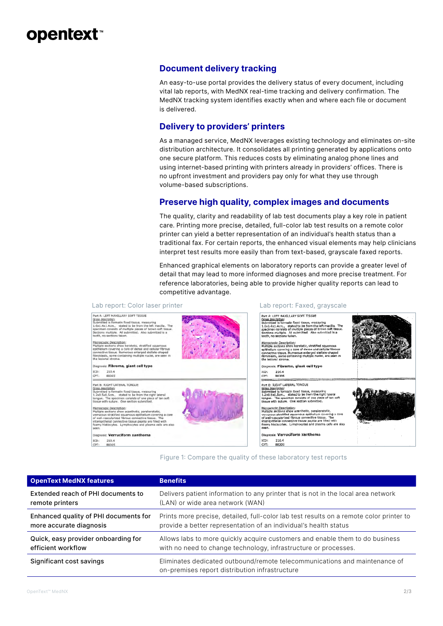# **opentext™**

# **Document delivery tracking**

An easy-to-use portal provides the delivery status of every document, including vital lab reports, with MedNX real-time tracking and delivery confirmation. The MedNX tracking system identifies exactly when and where each file or document is delivered.

# **Delivery to providers' printers**

As a managed service, MedNX leverages existing technology and eliminates on-site distribution architecture. It consolidates all printing generated by applications onto one secure platform. This reduces costs by eliminating analog phone lines and using internet-based printing with printers already in providers' offices. There is no upfront investment and providers pay only for what they use through volume-based subscriptions.

# **Preserve high quality, complex images and documents**

The quality, clarity and readability of lab test documents play a key role in patient care. Printing more precise, detailed, full-color lab test results on a remote color printer can yield a better representation of an individual's health status than a traditional fax. For certain reports, the enhanced visual elements may help clinicians interpret test results more easily than from text-based, grayscale faxed reports.

Enhanced graphical elements on laboratory reports can provide a greater level of detail that may lead to more informed diagnoses and more precise treatment. For reference laboratories, being able to provide higher quality reports can lead to competitive advantage.



#### Figure 1: Compare the quality of these laboratory test reports

| <b>OpenText MedNX features</b>        | <b>Benefits</b>                                                                                                              |
|---------------------------------------|------------------------------------------------------------------------------------------------------------------------------|
| Extended reach of PHI documents to    | Delivers patient information to any printer that is not in the local area network                                            |
| remote printers                       | (LAN) or wide area network (WAN)                                                                                             |
| Enhanced quality of PHI documents for | Prints more precise, detailed, full-color lab test results on a remote color printer to                                      |
| more accurate diagnosis               | provide a better representation of an individual's health status                                                             |
| Quick, easy provider onboarding for   | Allows labs to more quickly acquire customers and enable them to do business                                                 |
| efficient workflow                    | with no need to change technology, infrastructure or processes.                                                              |
| Significant cost savings              | Eliminates dedicated outbound/remote telecommunications and maintenance of<br>on-premises report distribution infrastructure |